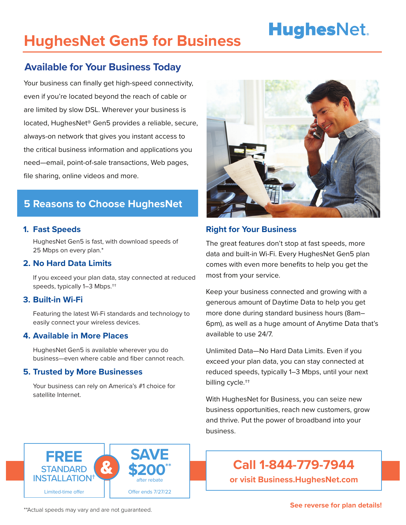# **HughesNet.**

## **HughesNet Gen5 for Business**

### **Available for Your Business Today**

Your business can finally get high-speed connectivity, even if you're located beyond the reach of cable or are limited by slow DSL. Wherever your business is located, HughesNet® Gen5 provides a reliable, secure, always-on network that gives you instant access to the critical business information and applications you need—email, point-of-sale transactions, Web pages, file sharing, online videos and more.

### **5 Reasons to Choose HughesNet**

#### **1. Fast Speeds**

HughesNet Gen5 is fast, with download speeds of 25 Mbps on every plan.\*

#### **2. No Hard Data Limits**

If you exceed your plan data, stay connected at reduced speeds, typically 1–3 Mbps.††

#### **3. Built-in Wi-Fi**

Featuring the latest Wi-Fi standards and technology to easily connect your wireless devices.

#### **4. Available in More Places**

HughesNet Gen5 is available wherever you do business—even where cable and fiber cannot reach.

#### **5. Trusted by More Businesses**

Your business can rely on America's #1 choice for satellite Internet.



#### **Right for Your Business**

The great features don't stop at fast speeds, more data and built-in Wi-Fi. Every HughesNet Gen5 plan comes with even more benefits to help you get the most from your service.

Keep your business connected and growing with a generous amount of Daytime Data to help you get more done during standard business hours (8am– 6pm), as well as a huge amount of Anytime Data that's available to use 24/7.

Unlimited Data—No Hard Data Limits. Even if you exceed your plan data, you can stay connected at reduced speeds, typically 1–3 Mbps, until your next billing cycle.††

With HughesNet for Business, you can seize new business opportunities, reach new customers, grow and thrive. Put the power of broadband into your business.



**Call 1-844-779-7944**

**or visit Business.HughesNet.com**

\*\*Actual speeds may vary and are not guaranteed. **See reverse for plan details!**